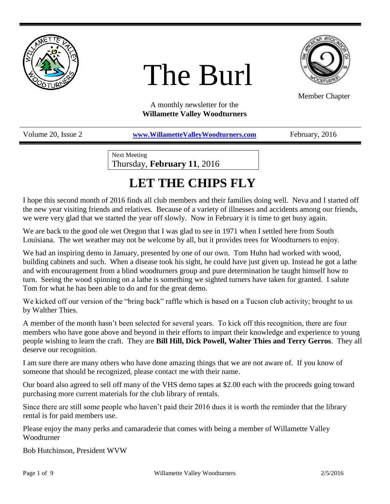

# The Burl



Member Chapter

A monthly newsletter for the **Willamette Valley Woodturners**

Volume 20, Issue 2 *[www.WillametteValleyWoodturners.com](http://www.willamettevalleywoodturners.com/)* February, 2016

Next Meeting Thursday, **February 11**, 2016

# **LET THE CHIPS FLY**

I hope this second month of 2016 finds all club members and their families doing well. Neva and I started off the new year visiting friends and relatives. Because of a variety of illnesses and accidents among our friends, we were very glad that we started the year off slowly. Now in February it is time to get busy again.

We are back to the good ole wet Oregon that I was glad to see in 1971 when I settled here from South Louisiana. The wet weather may not be welcome by all, but it provides trees for Woodturners to enjoy.

We had an inspiring demo in January, presented by one of our own. Tom Huhn had worked with wood, building cabinets and such. When a disease took his sight, he could have just given up. Instead he got a lathe and with encouragement from a blind woodturners group and pure determination he taught himself how to turn. Seeing the wood spinning on a lathe is something we sighted turners have taken for granted. I salute Tom for what he has been able to do and for the great demo.

We kicked off our version of the "bring back" raffle which is based on a Tucson club activity; brought to us by Walther Thies.

A member of the month hasn't been selected for several years. To kick off this recognition, there are four members who have gone above and beyond in their efforts to impart their knowledge and experience to young people wishing to learn the craft. They are **Bill Hill, Dick Powell, Walter Thies and Terry Gerros**. They all deserve our recognition.

I am sure there are many others who have done amazing things that we are not aware of. If you know of someone that should be recognized, please contact me with their name.

Our board also agreed to sell off many of the VHS demo tapes at \$2.00 each with the proceeds going toward purchasing more current materials for the club library of rentals.

Since there are still some people who haven't paid their 2016 dues it is worth the reminder that the library rental is for paid members use.

Please enjoy the many perks and camaraderie that comes with being a member of Willamette Valley Woodturner

Bob Hutchinson, President WVW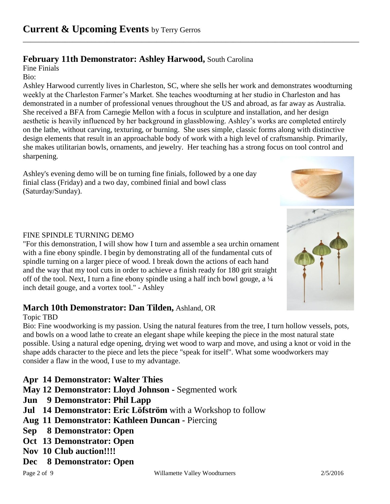### **February 11th Demonstrator: Ashley Harwood,** South Carolina

Fine Finials

Bio:

Ashley Harwood currently lives in Charleston, SC, where she sells her work and demonstrates woodturning weekly at the Charleston Farmer's Market. She teaches woodturning at her studio in Charleston and has demonstrated in a number of professional venues throughout the US and abroad, as far away as Australia. She received a BFA from Carnegie Mellon with a focus in sculpture and installation, and her design aesthetic is heavily influenced by her background in glassblowing. Ashley's works are completed entirely on the lathe, without carving, texturing, or burning. She uses simple, classic forms along with distinctive design elements that result in an approachable body of work with a high level of craftsmanship. Primarily, she makes utilitarian bowls, ornaments, and jewelry. Her teaching has a strong focus on tool control and sharpening.

\_\_\_\_\_\_\_\_\_\_\_\_\_\_\_\_\_\_\_\_\_\_\_\_\_\_\_\_\_\_\_\_\_\_\_\_\_\_\_\_\_\_\_\_\_\_\_\_\_\_\_\_\_\_\_\_\_\_\_\_\_\_\_\_\_\_\_\_\_\_\_\_\_\_\_\_\_\_\_\_\_\_\_\_\_\_\_\_

Ashley's evening demo will be on turning fine finials, followed by a one day finial class (Friday) and a two day, combined finial and bowl class (Saturday/Sunday).



### FINE SPINDLE TURNING DEMO

"For this demonstration, I will show how I turn and assemble a sea urchin ornament with a fine ebony spindle. I begin by demonstrating all of the fundamental cuts of spindle turning on a larger piece of wood. I break down the actions of each hand and the way that my tool cuts in order to achieve a finish ready for 180 grit straight off of the tool. Next, I turn a fine ebony spindle using a half inch bowl gouge, a ¼ inch detail gouge, and a vortex tool." - Ashley

### **March 10th Demonstrator: Dan Tilden,** Ashland, OR

#### Topic TBD

Bio: Fine woodworking is my passion. Using the natural features from the tree, I turn hollow vessels, pots, and bowls on a wood lathe to create an elegant shape while keeping the piece in the most natural state possible. Using a natural edge opening, drying wet wood to warp and move, and using a knot or void in the shape adds character to the piece and lets the piece "speak for itself". What some woodworkers may consider a flaw in the wood, I use to my advantage.

**Apr 14 Demonstrator: Walter Thies**

- **May 12 Demonstrator: Lloyd Johnson -** Segmented work
- **Jun 9 Demonstrator: Phil Lapp**
- **Jul 14 Demonstrator: Eric Löfström** with a Workshop to follow
- **Aug 11 Demonstrator: Kathleen Duncan -** Piercing
- **Sep 8 Demonstrator: Open**
- **Oct 13 Demonstrator: Open**
- **Nov 10 Club auction!!!!**
- **Dec 8 Demonstrator: Open**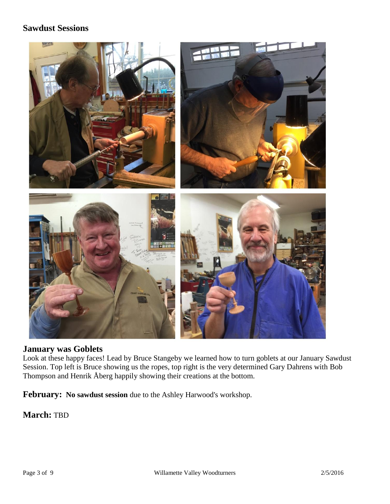### **Sawdust Sessions**



### **January was Goblets**

Look at these happy faces! Lead by Bruce Stangeby we learned how to turn goblets at our January Sawdust Session. Top left is Bruce showing us the ropes, top right is the very determined Gary Dahrens with Bob Thompson and Henrik Åberg happily showing their creations at the bottom.

**February: No sawdust session** due to the Ashley Harwood's workshop.

**March:** TBD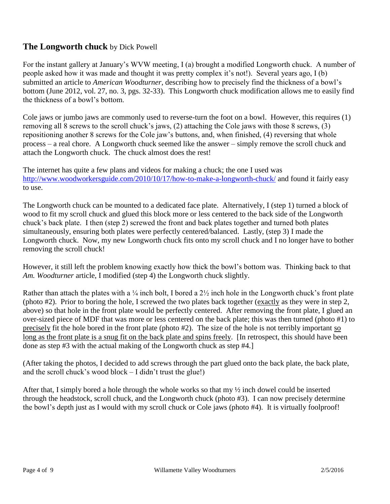### **The Longworth chuck** by Dick Powell

For the instant gallery at January's WVW meeting, I (a) brought a modified Longworth chuck. A number of people asked how it was made and thought it was pretty complex it's not!). Several years ago, I (b) submitted an article to *American Woodturner*, describing how to precisely find the thickness of a bowl's bottom (June 2012, vol. 27, no. 3, pgs. 32-33). This Longworth chuck modification allows me to easily find the thickness of a bowl's bottom.

Cole jaws or jumbo jaws are commonly used to reverse-turn the foot on a bowl. However, this requires (1) removing all 8 screws to the scroll chuck's jaws, (2) attaching the Cole jaws with those 8 screws, (3) repositioning another 8 screws for the Cole jaw's buttons, and, when finished, (4) reversing that whole process – a real chore. A Longworth chuck seemed like the answer – simply remove the scroll chuck and attach the Longworth chuck. The chuck almost does the rest!

The internet has quite a few plans and videos for making a chuck; the one I used was <http://www.woodworkersguide.com/2010/10/17/how-to-make-a-longworth-chuck/> and found it fairly easy to use.

The Longworth chuck can be mounted to a dedicated face plate. Alternatively, I (step 1) turned a block of wood to fit my scroll chuck and glued this block more or less centered to the back side of the Longworth chuck's back plate. I then (step 2) screwed the front and back plates together and turned both plates simultaneously, ensuring both plates were perfectly centered/balanced. Lastly, (step 3) I made the Longworth chuck. Now, my new Longworth chuck fits onto my scroll chuck and I no longer have to bother removing the scroll chuck!

However, it still left the problem knowing exactly how thick the bowl's bottom was. Thinking back to that *Am. Woodturner* article, I modified (step 4) the Longworth chuck slightly.

Rather than attach the plates with a  $\frac{1}{4}$  inch bolt, I bored a  $2\frac{1}{2}$  inch hole in the Longworth chuck's front plate (photo #2). Prior to boring the hole, I screwed the two plates back together (exactly as they were in step 2, above) so that hole in the front plate would be perfectly centered. After removing the front plate, I glued an over-sized piece of MDF that was more or less centered on the back plate; this was then turned (photo #1) to precisely fit the hole bored in the front plate (photo #2). The size of the hole is not terribly important so long as the front plate is a snug fit on the back plate and spins freely. [In retrospect, this should have been done as step #3 with the actual making of the Longworth chuck as step #4.]

(After taking the photos, I decided to add screws through the part glued onto the back plate, the back plate, and the scroll chuck's wood block – I didn't trust the glue!)

After that, I simply bored a hole through the whole works so that my  $\frac{1}{2}$  inch dowel could be inserted through the headstock, scroll chuck, and the Longworth chuck (photo #3). I can now precisely determine the bowl's depth just as I would with my scroll chuck or Cole jaws (photo #4). It is virtually foolproof!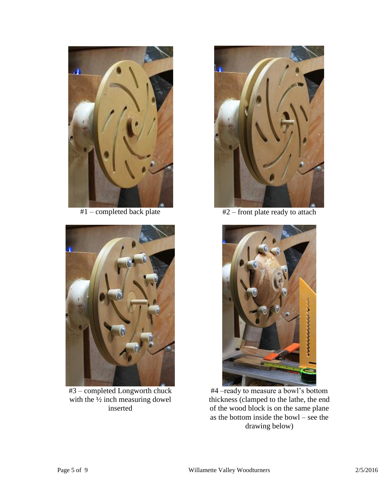



#3 – completed Longworth chuck with the  $\frac{1}{2}$  inch measuring dowel inserted



#1 – completed back plate #2 – front plate ready to attach



#4 –ready to measure a bowl's bottom thickness (clamped to the lathe, the end of the wood block is on the same plane as the bottom inside the bowl – see the drawing below)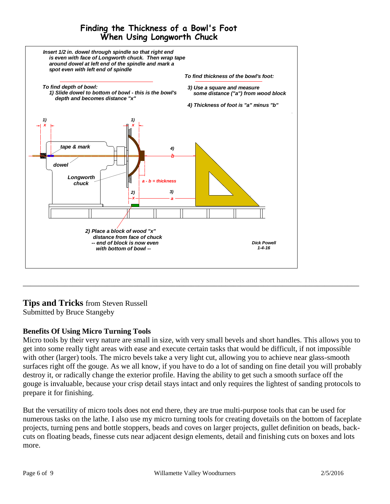### **Finding the Thickness of a Bowl's Foot When Using Longworth Chuck**



### **Tips and Tricks** from Steven Russell

Submitted by Bruce Stangeby

### **Benefits Of Using Micro Turning Tools**

Micro tools by their very nature are small in size, with very small bevels and short handles. This allows you to get into some really tight areas with ease and execute certain tasks that would be difficult, if not impossible with other (larger) tools. The micro bevels take a very light cut, allowing you to achieve near glass-smooth surfaces right off the gouge. As we all know, if you have to do a lot of sanding on fine detail you will probably destroy it, or radically change the exterior profile. Having the ability to get such a smooth surface off the gouge is invaluable, because your crisp detail stays intact and only requires the lightest of sanding protocols to prepare it for finishing.

\_\_\_\_\_\_\_\_\_\_\_\_\_\_\_\_\_\_\_\_\_\_\_\_\_\_\_\_\_\_\_\_\_\_\_\_\_\_\_\_\_\_\_\_\_\_\_\_\_\_\_\_\_\_\_\_\_\_\_\_\_\_\_\_\_\_\_\_\_\_\_\_\_\_\_\_\_\_\_\_\_\_\_\_\_\_\_\_

But the versatility of micro tools does not end there, they are true multi-purpose tools that can be used for numerous tasks on the lathe. I also use my micro turning tools for creating dovetails on the bottom of faceplate projects, turning pens and bottle stoppers, beads and coves on larger projects, gullet definition on beads, backcuts on floating beads, finesse cuts near adjacent design elements, detail and finishing cuts on boxes and lots more.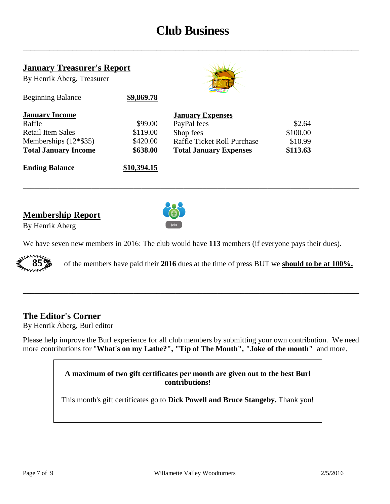### **Club Business**

\_\_\_\_\_\_\_\_\_\_\_\_\_\_\_\_\_\_\_\_\_\_\_\_\_\_\_\_\_\_\_\_\_\_\_\_\_\_\_\_\_\_\_\_\_\_\_\_\_\_\_\_\_\_\_\_\_\_\_\_\_\_\_\_\_\_\_\_\_\_\_\_\_\_\_\_\_\_\_\_\_\_\_\_\_\_\_\_

| <b>January Treasurer's Report</b> |             |                               |          |
|-----------------------------------|-------------|-------------------------------|----------|
| By Henrik Åberg, Treasurer        |             |                               |          |
| <b>Beginning Balance</b>          | \$9,869.78  |                               |          |
| <b>January Income</b>             |             | <b>January Expenses</b>       |          |
| Raffle                            | \$99.00     | PayPal fees                   | \$2.64   |
| Retail Item Sales                 | \$119.00    | Shop fees                     | \$100.00 |
| Memberships $(12*\$35)$           | \$420.00    | Raffle Ticket Roll Purchase   | \$10.99  |
| <b>Total January Income</b>       | \$638.00    | <b>Total January Expenses</b> | \$113.63 |
| <b>Ending Balance</b>             | \$10,394.15 |                               |          |

### **Membership Report**



By Henrik Åberg

We have seven new members in 2016: The club would have **113** members (if everyone pays their dues).

\_\_\_\_\_\_\_\_\_\_\_\_\_\_\_\_\_\_\_\_\_\_\_\_\_\_\_\_\_\_\_\_\_\_\_\_\_\_\_\_\_\_\_\_\_\_\_\_\_\_\_\_\_\_\_\_\_\_\_\_\_\_\_\_\_\_\_\_\_\_\_\_\_\_\_\_\_\_\_\_\_\_\_\_\_\_\_\_



**85%** of the members have paid their **2016** dues at the time of press BUT we **should to be at 100%.**

### **The Editor's Corner**

By Henrik Åberg, Burl editor

Please help improve the Burl experience for all club members by submitting your own contribution. We need more contributions for "**What's on my Lathe?", "Tip of The Month", "Joke of the month"** and more.

\_\_\_\_\_\_\_\_\_\_\_\_\_\_\_\_\_\_\_\_\_\_\_\_\_\_\_\_\_\_\_\_\_\_\_\_\_\_\_\_\_\_\_\_\_\_\_\_\_\_\_\_\_\_\_\_\_\_\_\_\_\_\_\_\_\_\_\_\_\_\_\_\_\_\_\_\_\_\_\_\_\_\_\_\_\_\_\_

**A maximum of two gift certificates per month are given out to the best Burl contributions**!

This month's gift certificates go to **Dick Powell and Bruce Stangeby.** Thank you!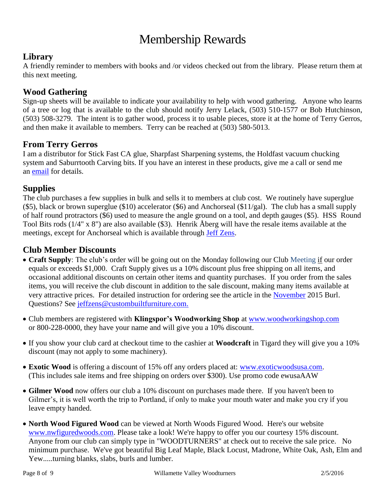## Membership Rewards

### **Library**

A friendly reminder to members with books and /or videos checked out from the library. Please return them at this next meeting.

### **Wood Gathering**

Sign-up sheets will be available to indicate your availability to help with wood gathering. Anyone who learns of a tree or log that is available to the club should notify Jerry Lelack, (503) 510-1577 or Bob Hutchinson, (503) 508-3279. The intent is to gather wood, process it to usable pieces, store it at the home of Terry Gerros, and then make it available to members. Terry can be reached at (503) 580-5013.

### **From Terry Gerros**

I am a distributor for Stick Fast CA glue, Sharpfast Sharpening systems, the Holdfast vacuum chucking system and Saburrtooth Carving bits. If you have an interest in these products, give me a call or send me an [email](mailto:gerrost@yahoo.com) for details.

### **Supplies**

The club purchases a few supplies in bulk and sells it to members at club cost. We routinely have superglue (\$5), black or brown superglue (\$10) accelerator (\$6) and Anchorseal (\$11/gal). The club has a small supply of half round protractors (\$6) used to measure the angle ground on a tool, and depth gauges (\$5). HSS Round Tool Bits rods (1/4" x 8") are also available (\$3). Henrik Åberg will have the resale items available at the meetings, except for Anchorseal which is available through [Jeff Zens.](mailto:jszens@custombuiltfurniture.com)

### **Club Member Discounts**

- **Craft Supply**: The club's order will be going out on the Monday following our Club Meeting if our order equals or exceeds \$1,000. Craft Supply gives us a 10% discount plus free shipping on all items, and occasional additional discounts on certain other items and quantity purchases. If you order from the sales items, you will receive the club discount in addition to the sale discount, making many items available at very attractive prices. For detailed instruction for ordering see the article in the [November](http://www.willamettevalleywoodturners.com/newsletters/2015_11_WVW_Newsletter.pdf) 2015 Burl. Questions? See [jeffzens@custombuiltfurniture.com.](mailto:jeffzens@custombuiltfurniture.com.)
- Club members are registered with **Klingspor's Woodworking Shop** at [www.woodworkingshop.com](http://www.woodworkingshop.com/)  or 800-228-0000, they have your name and will give you a 10% discount.
- If you show your club card at checkout time to the cashier at **Woodcraft** in Tigard they will give you a 10% discount (may not apply to some machinery).
- **Exotic Wood** is offering a discount of 15% off any orders placed at: [www.exoticwoodsusa.com.](http://www.exoticwoodsusa.com/) (This includes sale items and free shipping on orders over \$300). Use promo code ewusaAAW
- **Gilmer Wood** now offers our club a 10% discount on purchases made there. If you haven't been to Gilmer's, it is well worth the trip to Portland, if only to make your mouth water and make you cry if you leave empty handed.
- **North Wood Figured Wood** can be viewed at North Woods Figured Wood. Here's our website [www.nwfiguredwoods.com.](http://www.nwfiguredwoods.com/) Please take a look! We're happy to offer you our courtesy 15% discount. Anyone from our club can simply type in "WOODTURNERS" at check out to receive the sale price. No minimum purchase. We've got beautiful Big Leaf Maple, Black Locust, Madrone, White Oak, Ash, Elm and Yew.....turning blanks, slabs, burls and lumber.